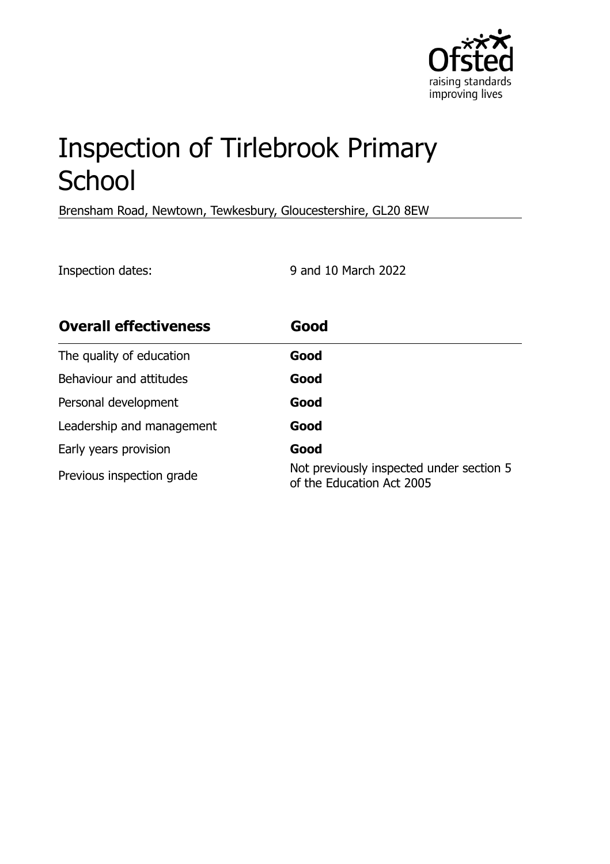

# Inspection of Tirlebrook Primary **School**

Brensham Road, Newtown, Tewkesbury, Gloucestershire, GL20 8EW

Inspection dates: 9 and 10 March 2022

| <b>Overall effectiveness</b> | Good                                                                  |
|------------------------------|-----------------------------------------------------------------------|
| The quality of education     | Good                                                                  |
| Behaviour and attitudes      | Good                                                                  |
| Personal development         | Good                                                                  |
| Leadership and management    | Good                                                                  |
| Early years provision        | Good                                                                  |
| Previous inspection grade    | Not previously inspected under section 5<br>of the Education Act 2005 |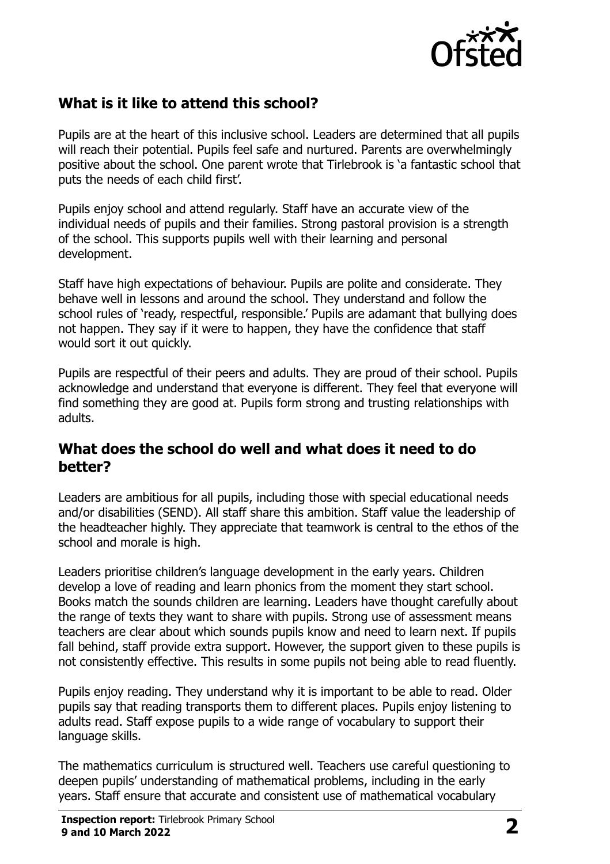

# **What is it like to attend this school?**

Pupils are at the heart of this inclusive school. Leaders are determined that all pupils will reach their potential. Pupils feel safe and nurtured. Parents are overwhelmingly positive about the school. One parent wrote that Tirlebrook is 'a fantastic school that puts the needs of each child first'.

Pupils enjoy school and attend regularly. Staff have an accurate view of the individual needs of pupils and their families. Strong pastoral provision is a strength of the school. This supports pupils well with their learning and personal development.

Staff have high expectations of behaviour. Pupils are polite and considerate. They behave well in lessons and around the school. They understand and follow the school rules of 'ready, respectful, responsible.' Pupils are adamant that bullying does not happen. They say if it were to happen, they have the confidence that staff would sort it out quickly.

Pupils are respectful of their peers and adults. They are proud of their school. Pupils acknowledge and understand that everyone is different. They feel that everyone will find something they are good at. Pupils form strong and trusting relationships with adults.

#### **What does the school do well and what does it need to do better?**

Leaders are ambitious for all pupils, including those with special educational needs and/or disabilities (SEND). All staff share this ambition. Staff value the leadership of the headteacher highly. They appreciate that teamwork is central to the ethos of the school and morale is high.

Leaders prioritise children's language development in the early years. Children develop a love of reading and learn phonics from the moment they start school. Books match the sounds children are learning. Leaders have thought carefully about the range of texts they want to share with pupils. Strong use of assessment means teachers are clear about which sounds pupils know and need to learn next. If pupils fall behind, staff provide extra support. However, the support given to these pupils is not consistently effective. This results in some pupils not being able to read fluently.

Pupils enjoy reading. They understand why it is important to be able to read. Older pupils say that reading transports them to different places. Pupils enjoy listening to adults read. Staff expose pupils to a wide range of vocabulary to support their language skills.

The mathematics curriculum is structured well. Teachers use careful questioning to deepen pupils' understanding of mathematical problems, including in the early years. Staff ensure that accurate and consistent use of mathematical vocabulary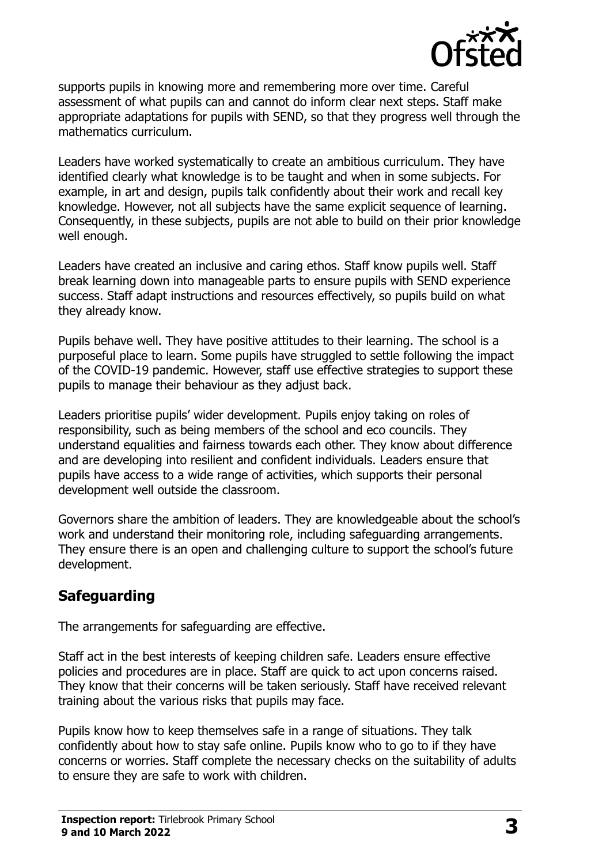

supports pupils in knowing more and remembering more over time. Careful assessment of what pupils can and cannot do inform clear next steps. Staff make appropriate adaptations for pupils with SEND, so that they progress well through the mathematics curriculum.

Leaders have worked systematically to create an ambitious curriculum. They have identified clearly what knowledge is to be taught and when in some subjects. For example, in art and design, pupils talk confidently about their work and recall key knowledge. However, not all subjects have the same explicit sequence of learning. Consequently, in these subjects, pupils are not able to build on their prior knowledge well enough.

Leaders have created an inclusive and caring ethos. Staff know pupils well. Staff break learning down into manageable parts to ensure pupils with SEND experience success. Staff adapt instructions and resources effectively, so pupils build on what they already know.

Pupils behave well. They have positive attitudes to their learning. The school is a purposeful place to learn. Some pupils have struggled to settle following the impact of the COVID-19 pandemic. However, staff use effective strategies to support these pupils to manage their behaviour as they adjust back.

Leaders prioritise pupils' wider development. Pupils enjoy taking on roles of responsibility, such as being members of the school and eco councils. They understand equalities and fairness towards each other. They know about difference and are developing into resilient and confident individuals. Leaders ensure that pupils have access to a wide range of activities, which supports their personal development well outside the classroom.

Governors share the ambition of leaders. They are knowledgeable about the school's work and understand their monitoring role, including safeguarding arrangements. They ensure there is an open and challenging culture to support the school's future development.

# **Safeguarding**

The arrangements for safeguarding are effective.

Staff act in the best interests of keeping children safe. Leaders ensure effective policies and procedures are in place. Staff are quick to act upon concerns raised. They know that their concerns will be taken seriously. Staff have received relevant training about the various risks that pupils may face.

Pupils know how to keep themselves safe in a range of situations. They talk confidently about how to stay safe online. Pupils know who to go to if they have concerns or worries. Staff complete the necessary checks on the suitability of adults to ensure they are safe to work with children.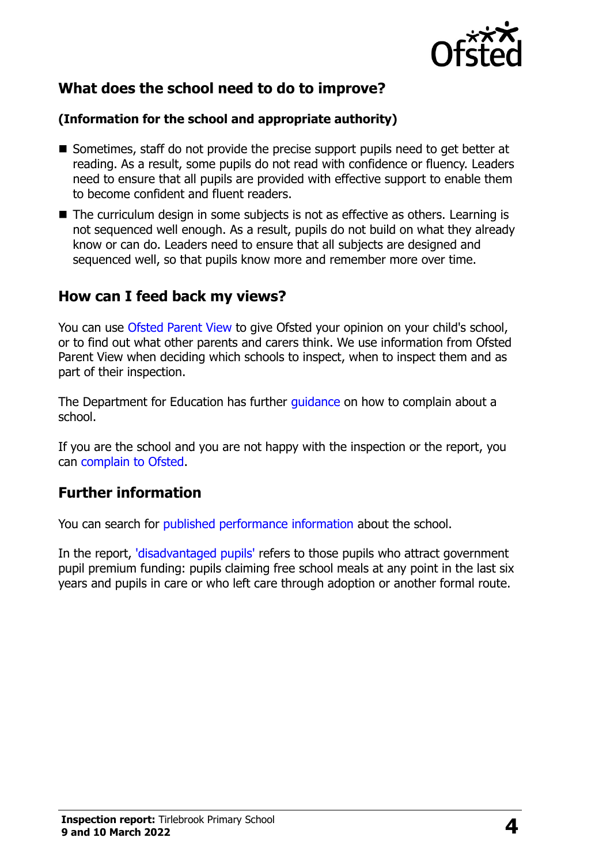

# **What does the school need to do to improve?**

#### **(Information for the school and appropriate authority)**

- Sometimes, staff do not provide the precise support pupils need to get better at reading. As a result, some pupils do not read with confidence or fluency. Leaders need to ensure that all pupils are provided with effective support to enable them to become confident and fluent readers.
- The curriculum design in some subjects is not as effective as others. Learning is not sequenced well enough. As a result, pupils do not build on what they already know or can do. Leaders need to ensure that all subjects are designed and sequenced well, so that pupils know more and remember more over time.

## **How can I feed back my views?**

You can use [Ofsted Parent View](http://parentview.ofsted.gov.uk/) to give Ofsted your opinion on your child's school, or to find out what other parents and carers think. We use information from Ofsted Parent View when deciding which schools to inspect, when to inspect them and as part of their inspection.

The Department for Education has further *quidance* on how to complain about a school.

If you are the school and you are not happy with the inspection or the report, you can [complain to Ofsted.](http://www.gov.uk/complain-ofsted-report)

# **Further information**

You can search for [published performance information](http://www.compare-school-performance.service.gov.uk/) about the school.

In the report, ['disadvantaged pupils'](http://www.gov.uk/guidance/pupil-premium-information-for-schools-and-alternative-provision-settings) refers to those pupils who attract government pupil premium funding: pupils claiming free school meals at any point in the last six years and pupils in care or who left care through adoption or another formal route.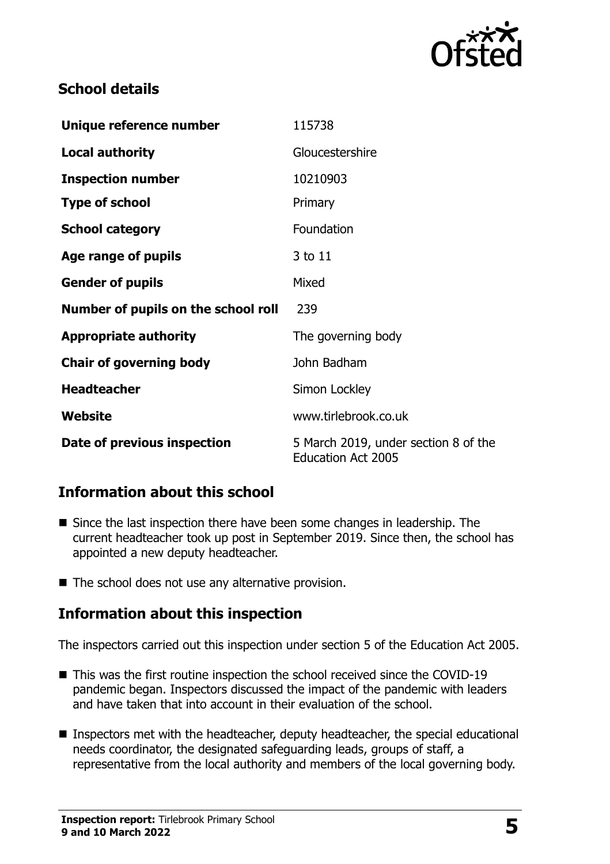

# **School details**

| Unique reference number             | 115738                                                            |
|-------------------------------------|-------------------------------------------------------------------|
| <b>Local authority</b>              | Gloucestershire                                                   |
| <b>Inspection number</b>            | 10210903                                                          |
| <b>Type of school</b>               | Primary                                                           |
| <b>School category</b>              | Foundation                                                        |
| Age range of pupils                 | 3 to 11                                                           |
| <b>Gender of pupils</b>             | Mixed                                                             |
| Number of pupils on the school roll | 239                                                               |
| <b>Appropriate authority</b>        | The governing body                                                |
| <b>Chair of governing body</b>      | John Badham                                                       |
| <b>Headteacher</b>                  | Simon Lockley                                                     |
| Website                             | www.tirlebrook.co.uk                                              |
| Date of previous inspection         | 5 March 2019, under section 8 of the<br><b>Education Act 2005</b> |

# **Information about this school**

- Since the last inspection there have been some changes in leadership. The current headteacher took up post in September 2019. Since then, the school has appointed a new deputy headteacher.
- The school does not use any alternative provision.

### **Information about this inspection**

The inspectors carried out this inspection under section 5 of the Education Act 2005.

- This was the first routine inspection the school received since the COVID-19 pandemic began. Inspectors discussed the impact of the pandemic with leaders and have taken that into account in their evaluation of the school.
- Inspectors met with the headteacher, deputy headteacher, the special educational needs coordinator, the designated safeguarding leads, groups of staff, a representative from the local authority and members of the local governing body.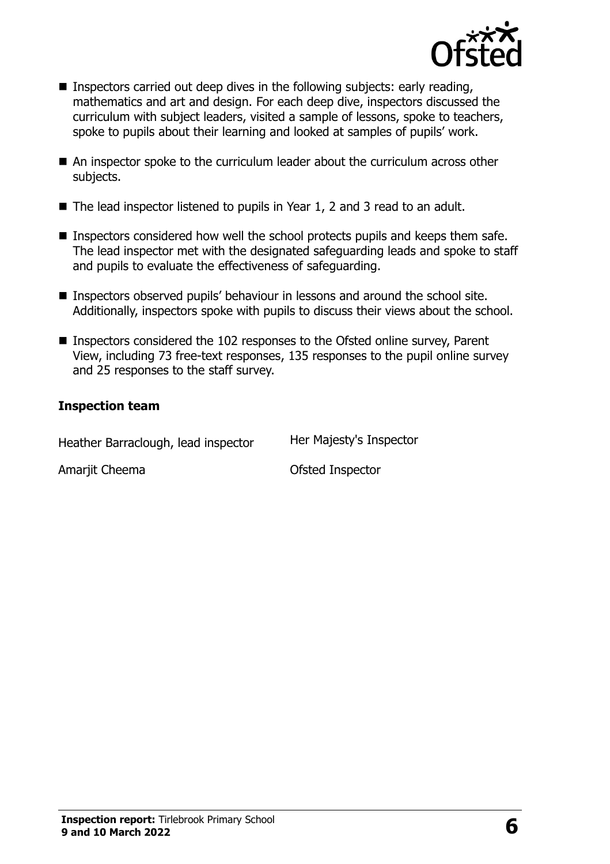

- **Inspectors carried out deep dives in the following subjects: early reading,** mathematics and art and design. For each deep dive, inspectors discussed the curriculum with subject leaders, visited a sample of lessons, spoke to teachers, spoke to pupils about their learning and looked at samples of pupils' work.
- An inspector spoke to the curriculum leader about the curriculum across other subjects.
- The lead inspector listened to pupils in Year 1, 2 and 3 read to an adult.
- **Inspectors considered how well the school protects pupils and keeps them safe.** The lead inspector met with the designated safeguarding leads and spoke to staff and pupils to evaluate the effectiveness of safeguarding.
- Inspectors observed pupils' behaviour in lessons and around the school site. Additionally, inspectors spoke with pupils to discuss their views about the school.
- Inspectors considered the 102 responses to the Ofsted online survey, Parent View, including 73 free-text responses, 135 responses to the pupil online survey and 25 responses to the staff survey.

#### **Inspection team**

| Heather Barraclough, lead inspector | Her Majesty's Inspector |
|-------------------------------------|-------------------------|
| Amarjit Cheema                      | Ofsted Inspector        |